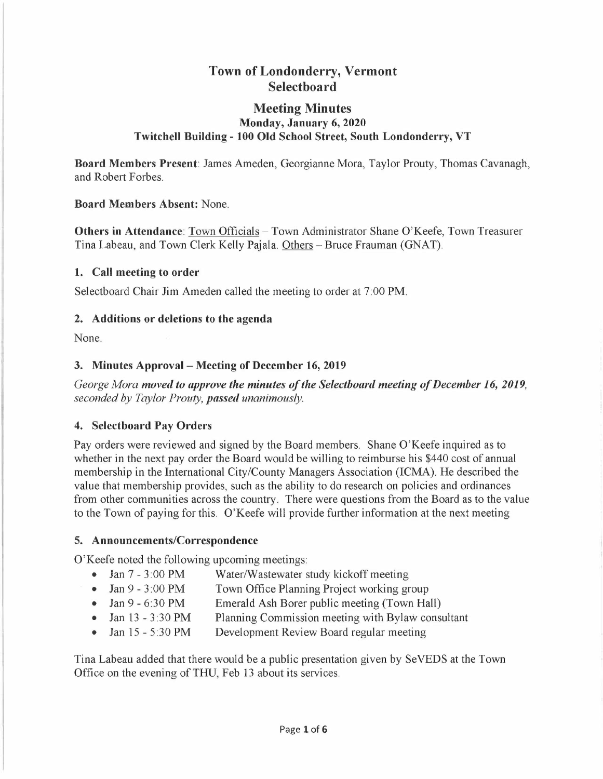## **Town of Londonderry, Vermont Selectboard**

## **Meeting Minutes Monday, January 6, 2020 Twitchell Building - 100 Old School Street, South Londonderry, VT**

**Board Members Present:** James Ameden, Georgianne Mora, Taylor Prouty, Thomas Cavanagh, and Robert Forbes.

**Board Members Absent:** None.

**Others in Attendance: Town Officials - Town Administrator Shane O'Keefe, Town Treasurer** Tina Labeau, and Town Clerk Kelly Pajala. Others - Bruce Frauman (GNAT).

## **1. Call meeting to order**

Selectboard Chair Jim Ameden called the meeting to order at 7:00 PM.

## **2. Additions or deletions to the agenda**

None.

## **3. Minutes Approval - Meeting of December 16, 2019**

*George Mora moved to approve the minutes of the Selectboard meeting of December 16, 2019, seconded by Taylor Prouty, passed unanimously.* 

## **4. Selectboard Pay Orders**

Pay orders were reviewed and signed by the Board members. Shane O'Keefe inquired as to whether in the next pay order the Board would be willing to reimburse his \$440 cost of annual membership in the International City/County Managers Association (ICMA). He described the value that membership provides, such as the ability to do research on policies and ordinances from other communities across the country. There were questions from the Board as to the value to the Town of paying for this. O'Keefe will provide further information at the next meeting

## **5. Announcements/Correspondence**

O'Keefe noted the following upcoming meetings:

- Jan 7 3:00 PM Water/Wastewater study kickoff meeting
- Jan 9 3:00 PM Town Office Planning Project working group
- Jan 9 6:30 PM Emerald Ash Borer public meeting (Town Hall)
- Jan 13 3:30 PM Planning Commission meeting with Bylaw consultant
- Jan 15 5:30 PM Development Review Board regular meeting

Tina Labeau added that there would be a public presentation given by SeVEDS at the Town Office on the evening of THU, Feb 13 about its services.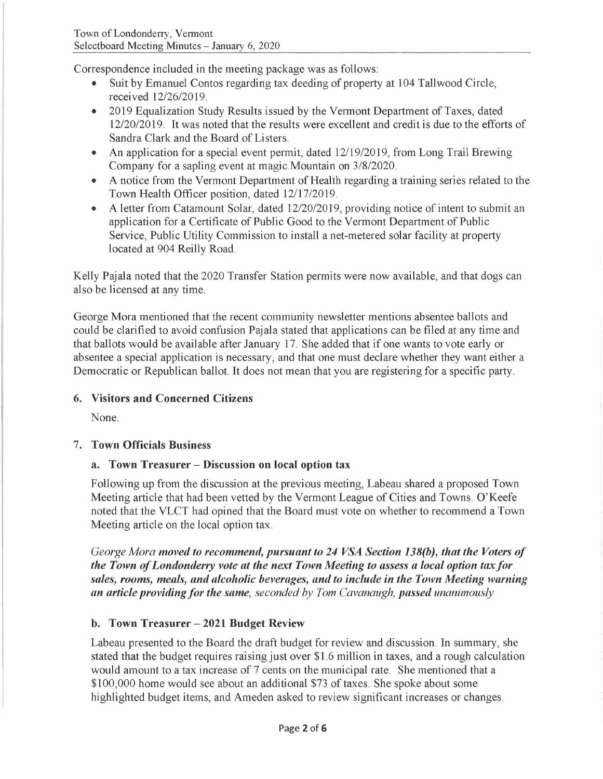Correspondence included in the meeting package was as follows:

- Suit by Emanuel Contos regarding tax deeding of property at 104 Tallwood Circle, received 12/26/2019.
- 2019 Equalization Study Results issued by the Vermont Department of Taxes, dated 12/20/2019. It was noted that the results were excellent and credit is due to the efforts of Sandra Clark and the Board of Listers.
- An application for a special event permit, dated 12/19/2019, from Long Trail Brewing Company for a sapling event at magic Mountain on 3/8/2020.
- A notice from the Vermont Department of Health regarding a training series related to the Town Health Officer position, dated 12/17/2019.
- A letter from Catamount Solar, dated 12/20/2019, providing notice of intent to submit an application for a Certificate of Public Good to the Vermont Department of Public Service, Public Utility Commission to install a net-metered solar facility at property located at 904 Reilly Road.

Kelly Pajala noted that the 2020 Transfer Station permits were now available, and that dogs can also be licensed at any time.

George Mora mentioned that the recent community newsletter mentions absentee ballots and could be clarified to avoid confusion Pajala stated that applications can be filed at any time and that ballots would be available after January 17. She added that if one wants to vote early or absentee a special application is necessary, and that one must declare whether they want either a Democratic or Republican ballot. It does not mean that you are registering for a specific party.

## **6. Visitors and Concerned Citizens**

None.

## 7. **Town Officials Business**

## **a. Town Treasurer - Discussion on local option tax**

Following up from the discussion at the previous meeting, Labeau shared a proposed Town Meeting article that had been vetted by the Vermont League of Cities and Towns. O'Keefe noted that the VLCT had opined that the Board must vote on whether to recommend a Town Meeting article on the local option tax.

*George Mora moved to recommend, pursuant to 24 VSA Section 138(b), that the Voters of the Town of Londonderry vote at the next Town Meeting to assess a local option tax for sales, rooms, meals, and alcoholic beverages, and to include in the Town Meeting warning an article providing for the same, seconded by Tom Cavanaugh, passed unanimously* 

## **b. Town Treasurer - 2021 Budget Review**

Labeau presented to the Board the draft budget for review and discussion. In summary, she stated that the budget requires raising just over \$1.6 million in taxes, and a rough calculation would amount to a tax increase of 7 cents on the municipal rate. She mentioned that a \$100,000 home would see about an additional \$73 of taxes. She spoke about some highlighted budget items, and Ameden asked to review significant increases or changes.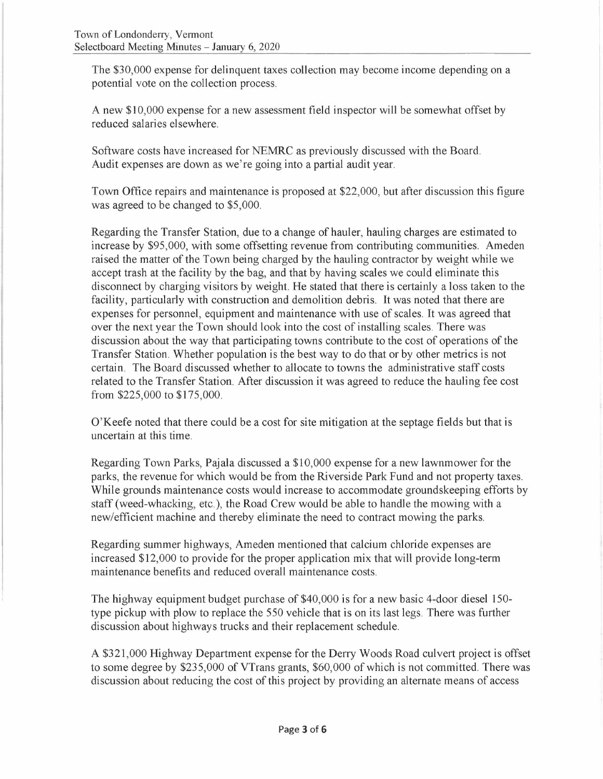The \$30,000 expense for delinquent taxes collection may become income depending on a potential vote on the collection process.

A new \$10,000 expense for a new assessment field inspector will be somewhat offset by reduced salaries elsewhere.

Software costs have increased for NEMRC as previously discussed with the Board. Audit expenses are down as we're going into a partial audit year.

Town Office repairs and maintenance is proposed at \$22,000, but after discussion this figure was agreed to be changed to \$5,000.

Regarding the Transfer Station, due to a change of hauler, hauling charges are estimated to increase by \$95,000, with some offsetting revenue from contributing communities. Ameden raised the matter of the Town being charged by the hauling contractor by weight while we accept trash at the facility by the bag, and that by having scales we could eliminate this disconnect by charging visitors by weight. He stated that there is certainly a loss taken to the facility, particularly with construction and demolition debris. It was noted that there are expenses for personnel, equipment and maintenance with use of scales. It was agreed that over the next year the Town should look into the cost of installing scales. There was discussion about the way that participating towns contribute to the cost of operations of the Transfer Station. Whether population is the best way to do that or by other metrics is not certain. The Board discussed whether to allocate to towns the administrative staff costs related to the Transfer Station. After discussion it was agreed to reduce the hauling fee cost from \$225,000 to \$175,000.

O'Keefe noted that there could be a cost for site mitigation at the septage fields but that is uncertain at this time.

Regarding Town Parks, Pajala discussed a \$10,000 expense for a new lawnmower for the parks, the revenue for which would be from the Riverside Park Fund and not property taxes. While grounds maintenance costs would increase to accommodate groundskeeping efforts by staff (weed-whacking, etc.), the Road Crew would be able to handle the mowing with a new/efficient machine and thereby eliminate the need to contract mowing the parks.

Regarding summer highways, Ameden mentioned that calcium chloride expenses are increased \$12,000 to provide for the proper application mix that will provide long-term maintenance benefits and reduced overall maintenance costs.

The highway equipment budget purchase of \$40,000 is for a new basic 4-door diesel 150 type pickup with plow to replace the 550 vehicle that is on its last legs. There was further discussion about highways trucks and their replacement schedule.

A \$321,000 Highway Department expense for the Derry Woods Road culvert project is offset to some degree by \$235,000 of VTrans grants, \$60,000 of which is not committed. There was discussion about reducing the cost of this project by providing an alternate means of access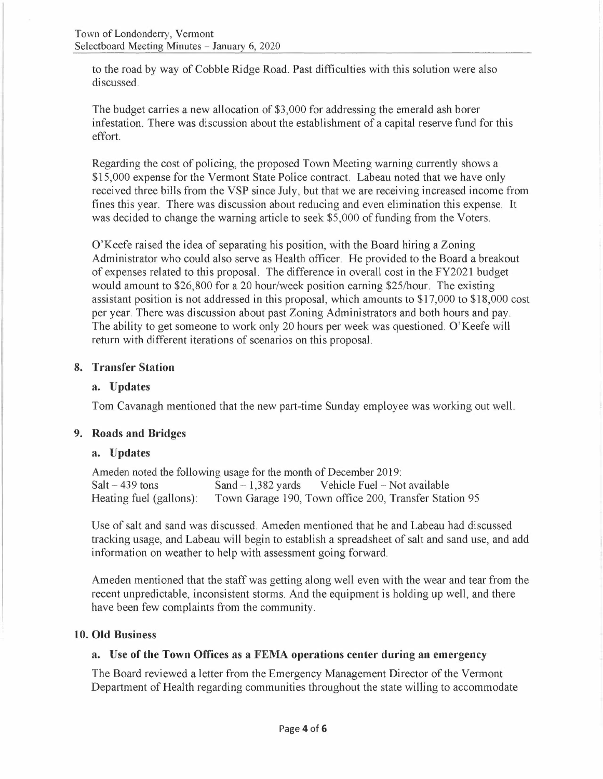to the road by way of Cobble Ridge Road. Past difficulties with this solution were also discussed.

The budget carries a new allocation of \$3,000 for addressing the emerald ash borer infestation. There was discussion about the establishment of a capital reserve fund for this effort.

Regarding the cost of policing, the proposed Town Meeting warning currently shows a \$15,000 expense for the Vermont State Police contract. Labeau noted that we have only received three bills from the VSP since July, but that we are receiving increased income from fines this year. There was discussion about reducing and even elimination this expense. It was decided to change the warning article to seek \$5,000 of funding from the Voters.

O'Keefe raised the idea of separating his position, with the Board hiring a Zoning Administrator who could also serve as Health officer. He provided to the Board a breakout of expenses related to this proposal. The difference in overall cost in the FY2021 budget would amount to \$26,800 for a 20 hour/week position earning \$25/hour. The existing assistant position is not addressed in this proposal, which amounts to \$17,000 to \$18,000 cost per year. There was discussion about past Zoning Administrators and both hours and pay. The ability to get someone to work only 20 hours per week was questioned. O'Keefe will return with different iterations of scenarios on this proposal.

#### **8. Transfer Station**

#### **a. Updates**

Tom Cavanagh mentioned that the new part-time Sunday employee was working out well.

#### **9. Roads and Bridges**

#### **a. Updates**

Ameden noted the following usage for the month of December 2019: Salt - 439 tons Sand - 1,382 yards Vehicle Fuel - Not available<br>Heating fuel (gallons): Town Garage 190, Town office 200, Transfer Stat Town Garage 190, Town office 200, Transfer Station 95

Use of salt and sand was discussed. Ameden mentioned that he and Labeau had discussed tracking usage, and Labeau will begin to establish a spreadsheet of salt and sand use, and add information on weather to help with assessment going forward.

Ameden mentioned that the staff was getting along well even with the wear and tear from the recent unpredictable, inconsistent storms. And the equipment is holding up well, and there have been few complaints from the community.

#### **10. Old Business**

#### **a. Use of the Town Offices as a FEMA operations center during an emergency**

The Board reviewed a letter from the Emergency Management Director of the Vermont Department of Health regarding communities throughout the state willing to accommodate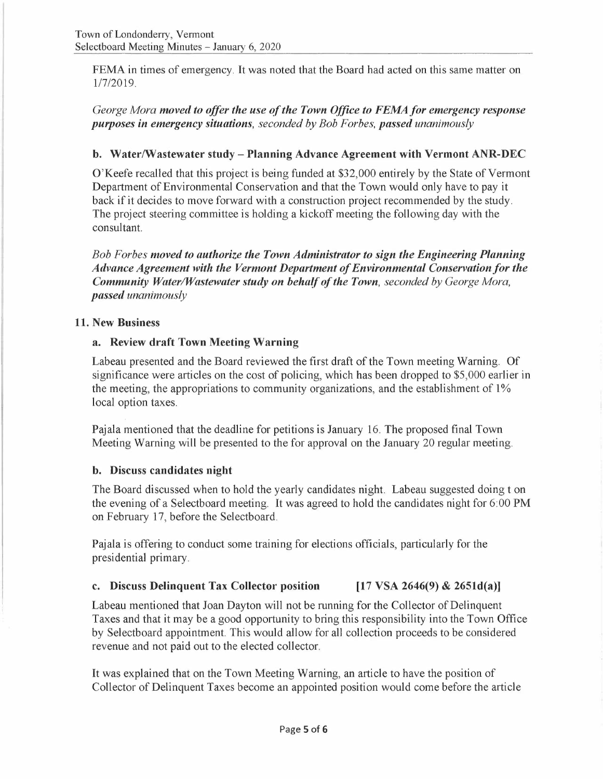FEMA in times of emergency. It was noted that the Board had acted on this same matter on 1/7/2019.

*George Mora moved to offer the use of the Town Office to FEMAfor emergency response purposes in emergency situations, seconded by Bob For bes, passed unanimously* 

## **b. Water/Wastewater study-Planning Advance Agreement with Vermont ANR-DEC**

O'Keefe recalled that this project is being funded at \$32,000 entirely by the State of Vermont Department of Environmental Conservation and that the Town would only have to pay it back if it decides to move forward with a construction project recommended by the study. The project steering committee is holding a kickoff meeting the following day with the consultant.

*Bob Forbes moved to authorize the Town Administrator to sign the Engineering Planning Advance Agreement with the Vermont Department of Environmental Conservation for the Community Water/Wastewater study on behalf of the Town, seconded by George Mora, passed unanimously* 

## **11. New Business**

## **a. Review draft Town Meeting Warning**

Labeau presented and the Board reviewed the first draft of the Town meeting Warning. Of significance were articles on the cost of policing, which has been dropped to \$5,000 earlier in the meeting, the appropriations to community organizations, and the establishment of  $1\%$ local option taxes.

Pajala mentioned that the deadline for petitions is January 16. The proposed final Town Meeting Warning will be presented to the for approval on the January 20 regular meeting.

## **b. Discuss candidates night**

The Board discussed when to hold the yearly candidates night. Labeau suggested doing t on the evening of a Selectboard meeting. It was agreed to hold the candidates night for 6:00 **PM**  on February 17, before the Selectboard.

Pajala is offering to conduct some training for elections officials, particularly for the presidential primary.

## **c. Discuss Delinquent Tax Collector position [17 VSA 2646(9)** & **2651d(a)]**

Labeau mentioned that Joan Dayton will not be running for the Collector of Delinquent Taxes and that it may be a good opportunity to bring this responsibility into the Town Office by Selectboard appointment. This would allow for all collection proceeds to be considered revenue and not paid out to the elected collector.

It was explained that on the Town Meeting Warning, an article to have the position of Collector of Delinquent Taxes become an appointed position would come before the article